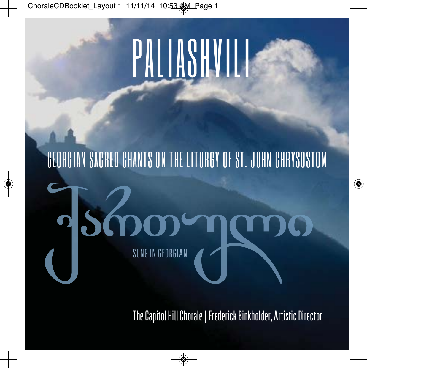# PALIASHVILI

# GEORGIAN SACRED CHANTS ON THE LITURGY OF ST. JOHN CHRYSOSTOM

**SOOT** 

# The Capitol Hill Chorale | Frederick Binkholder, Artistic Director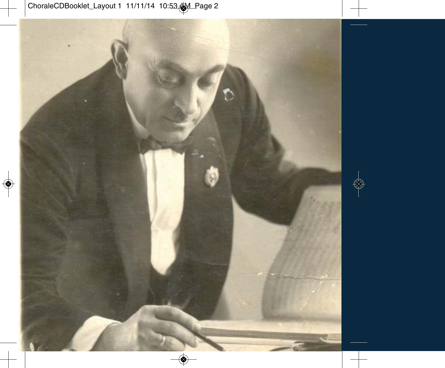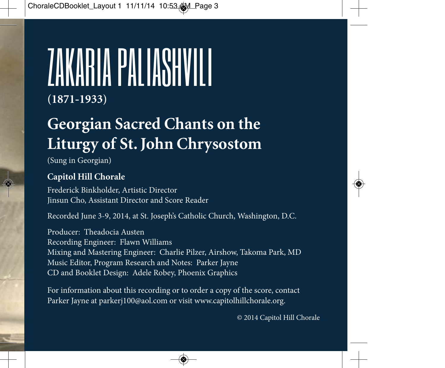# ZAKARIA PALIASHVILI **(1871-1933)**

# **Georgian Sacred Chants on the Liturgy of St. John Chrysostom**

(Sung in Georgian)

#### **Capitol Hill Chorale**

Frederick Binkholder, Artistic Director Jinsun Cho, Assistant Director and Score Reader

Recorded June 3-9, 2014, at St. Joseph's Catholic Church, Washington, D.C.

Producer: Theadocia Austen Recording Engineer: Flawn Williams Mixing and Mastering Engineer: Charlie Pilzer, Airshow, Takoma Park, MD Music Editor, Program Research and Notes: Parker Jayne CD and Booklet Design: Adele Robey, Phoenix Graphics

For information about this recording or to order a copy of the score, contact Parker Jayne at parkerj100@aol.com or visit www.capitolhillchorale.org.

© 2014 Capitol Hill Chorale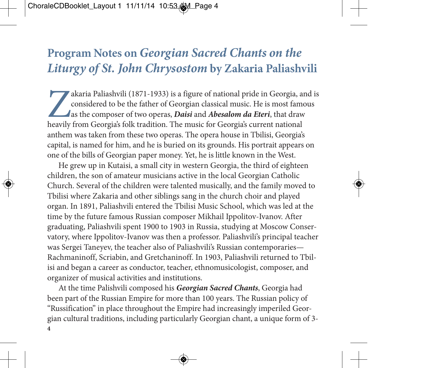# **Program Notes on** *Georgian Sacred Chants on the Liturgy of St. John Chrysostom* **by Zakaria Paliashvili**

akaria Paliashvili (1871-1933) is a figure of national pride in Georgia, and is<br>considered to be the father of Georgian classical music. He is most famous<br>as the composer of two operas, **Daisi** and **Abesalom da Eteri**, tha considered to be the father of Georgian classical music. He is most famous as the composer of two operas, *Daisi* and *Abesalom da Eteri*, that draw heavily from Georgia's folk tradition. The music for Georgia's current national anthem was taken from these two operas. The opera house in Tbilisi, Georgia's capital, is named for him, and he is buried on its grounds. His portrait appears on one of the bills of Georgian paper money. Yet, he is little known in the West.

He grew up in Kutaisi, a small city in western Georgia, the third of eighteen children, the son of amateur musicians active in the local Georgian Catholic Church. Several of the children were talented musically, and the family moved to Tbilisi where Zakaria and other siblings sang in the church choir and played organ. In 1891, Paliashvili entered the Tbilisi Music School, which was led at the time by the future famous Russian composer Mikhail Ippolitov-Ivanov. After graduating, Paliashvili spent 1900 to 1903 in Russia, studying at Moscow Conservatory, where Ippolitov-Ivanov was then a professor. Paliashvili's principal teacher was Sergei Taneyev, the teacher also of Paliashvili's Russian contemporaries— Rachmaninoff, Scriabin, and Gretchaninoff. In 1903, Paliashvili returned to Tbilisi and began a career as conductor, teacher, ethnomusicologist, composer, and organizer of musical activities and institutions.

At the time Palishvili composed his *Georgian Sacred Chants*, Georgia had been part of the Russian Empire for more than 100 years. The Russian policy of "Russification" in place throughout the Empire had increasingly imperiled Georgian cultural traditions, including particularly Georgian chant, a unique form of 3- **4**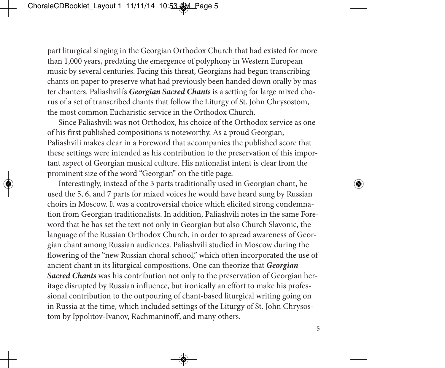part liturgical singing in the Georgian Orthodox Church that had existed for more than 1,000 years, predating the emergence of polyphony in Western European music by several centuries. Facing this threat, Georgians had begun transcribing chants on paper to preserve what had previously been handed down orally by master chanters. Paliashvili's *Georgian Sacred Chants* is a setting for large mixed chorus of a set of transcribed chants that follow the Liturgy of St. John Chrysostom, the most common Eucharistic service in the Orthodox Church.

Since Paliashvili was not Orthodox, his choice of the Orthodox service as one of his first published compositions is noteworthy. As a proud Georgian, Paliashvili makes clear in a Foreword that accompanies the published score that these settings were intended as his contribution to the preservation of this important aspect of Georgian musical culture. His nationalist intent is clear from the prominent size of the word "Georgian" on the title page.

Interestingly, instead of the 3 parts traditionally used in Georgian chant, he used the 5, 6, and 7 parts for mixed voices he would have heard sung by Russian choirs in Moscow. It was a controversial choice which elicited strong condemnation from Georgian traditionalists. In addition, Paliashvili notes in the same Foreword that he has set the text not only in Georgian but also Church Slavonic, the language of the Russian Orthodox Church, in order to spread awareness of Georgian chant among Russian audiences. Paliashvili studied in Moscow during the flowering of the "new Russian choral school," which often incorporated the use of ancient chant in its liturgical compositions. One can theorize that *Georgian Sacred Chants* was his contribution not only to the preservation of Georgian heritage disrupted by Russian influence, but ironically an effort to make his professional contribution to the outpouring of chant-based liturgical writing going on in Russia at the time, which included settings of the Liturgy of St. John Chrysostom by Ippolitov-Ivanov, Rachmaninoff, and many others.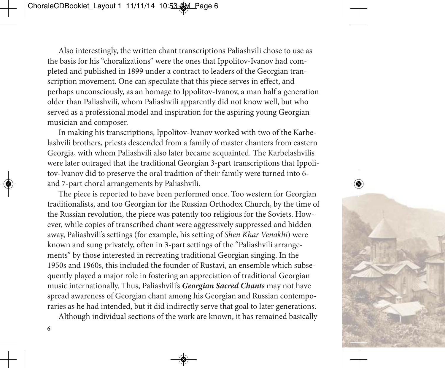Also interestingly, the written chant transcriptions Paliashvili chose to use as the basis for his "choralizations" were the ones that Ippolitov-Ivanov had completed and published in 1899 under a contract to leaders of the Georgian transcription movement. One can speculate that this piece serves in effect, and perhaps unconsciously, as an homage to Ippolitov-Ivanov, a man half a generation older than Paliashvili, whom Paliashvili apparently did not know well, but who served as a professional model and inspiration for the aspiring young Georgian musician and composer.

In making his transcriptions, Ippolitov-Ivanov worked with two of the Karbelashvili brothers, priests descended from a family of master chanters from eastern Georgia, with whom Paliashvili also later became acquainted. The Karbelashvilis were later outraged that the traditional Georgian 3-part transcriptions that Ippolitov-Ivanov did to preserve the oral tradition of their family were turned into 6 and 7-part choral arrangements by Paliashvili.

The piece is reported to have been performed once. Too western for Georgian traditionalists, and too Georgian for the Russian Orthodox Church, by the time of the Russian revolution, the piece was patently too religious for the Soviets. However, while copies of transcribed chant were aggressively suppressed and hidden away, Paliashvili's settings (for example, his setting of *Shen Khar Venakhi*) were known and sung privately, often in 3-part settings of the "Paliashvili arrangements" by those interested in recreating traditional Georgian singing. In the 1950s and 1960s, this included the founder of Rustavi, an ensemble which subsequently played a major role in fostering an appreciation of traditional Georgian music internationally. Thus, Paliashvili's *Georgian Sacred Chants* may not have spread awareness of Georgian chant among his Georgian and Russian contemporaries as he had intended, but it did indirectly serve that goal to later generations.

Although individual sections of the work are known, it has remained basically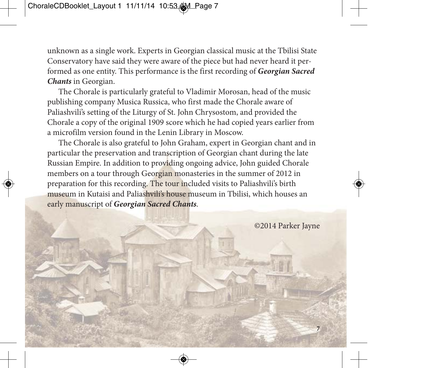unknown as a single work. Experts in Georgian classical music at the Tbilisi State Conservatory have said they were aware of the piece but had never heard it performed as one entity. This performance is the first recording of *Georgian Sacred Chants* in Georgian.

The Chorale is particularly grateful to Vladimir Morosan, head of the music publishing company Musica Russica, who first made the Chorale aware of Paliashvili's setting of the Liturgy of St. John Chrysostom, and provided the Chorale a copy of the original 1909 score which he had copied years earlier from a microfilm version found in the Lenin Library in Moscow.

The Chorale is also grateful to John Graham, expert in Georgian chant and in particular the preservation and transcription of Georgian chant during the late Russian Empire. In addition to providing ongoing advice, John guided Chorale members on a tour through Georgian monasteries in the summer of 2012 in preparation for this recording. The tour included visits to Paliashvili's birth museum in Kutaisi and Paliashvili's house museum in Tbilisi, which houses an early manuscript of *Georgian Sacred Chants*.

©2014 Parker Jayne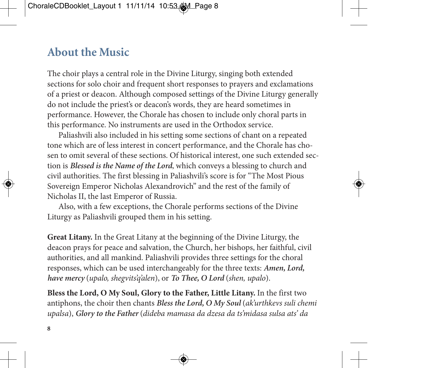## **About the Music**

The choir plays a central role in the Divine Liturgy, singing both extended sections for solo choir and frequent short responses to prayers and exclamations of a priest or deacon. Although composed settings of the Divine Liturgy generally do not include the priest's or deacon's words, they are heard sometimes in performance. However, the Chorale has chosen to include only choral parts in this performance. No instruments are used in the Orthodox service.

Paliashvili also included in his setting some sections of chant on a repeated tone which are of less interest in concert performance, and the Chorale has chosen to omit several of these sections. Of historical interest, one such extended section is *Blessed is the Name of the Lord*, which conveys a blessing to church and civil authorities. The first blessing in Paliashvili's score is for "The Most Pious Sovereign Emperor Nicholas Alexandrovich" and the rest of the family of Nicholas II, the last Emperor of Russia.

Also, with a few exceptions, the Chorale performs sections of the Divine Liturgy as Paliashvili grouped them in his setting.

**Great Litany.** In the Great Litany at the beginning of the Divine Liturgy, the deacon prays for peace and salvation, the Church, her bishops, her faithful, civil authorities, and all mankind. Paliashvili provides three settings for the choral responses, which can be used interchangeably for the three texts: *Amen, Lord, have mercy* (*upalo, shegvits'q'alen*), or *To Thee, O Lord* (*shen, upalo*).

**Bless the Lord, O My Soul, Glory to the Father, Little Litany.** In the first two antiphons, the choir then chants *Bless the Lord, O My Soul* (*ak'urthkevs suli chemi upalsa*), *Glory to the Father* (*dideba mamasa da dzesa da ts'midasa sulsa ats' da*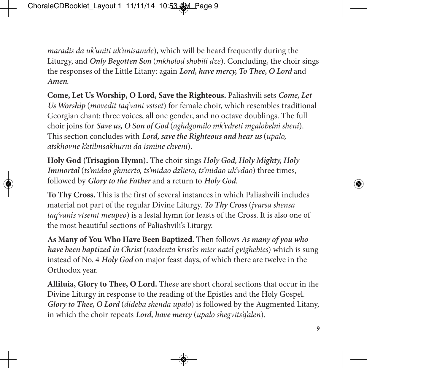*maradis da uk'uniti uk'unisamde*), which will be heard frequently during the Liturgy, and *Only Begotten Son* (*mkholod shobili dze*). Concluding, the choir sings the responses of the Little Litany: again *Lord, have mercy, To Thee, O Lord* and *Amen*.

**Come, Let Us Worship, O Lord, Save the Righteous.** Paliashvili sets *Come, Let Us Worship* (*movedit taq'vani vstset*) for female choir, which resembles traditional Georgian chant: three voices, all one gender, and no octave doublings. The full choir joins for *Save us, O Son of God* (*aghdgomilo mk'vdreti mgalobelni sheni*). This section concludes with *Lord, save the Righteous and hear us* (*upalo, atskhovne k'etilmsakhurni da ismine chveni*).

**Holy God (Trisagion Hymn).** The choir sings *Holy God, Holy Mighty, Holy Immortal* (*ts'midao ghmerto, ts'midao dzliero, ts'midao uk'vdao*) three times, followed by *Glory to the Father* and a return to *Holy God*.

**To Thy Cross.** This is the first of several instances in which Paliashvili includes material not part of the regular Divine Liturgy. *To Thy Cross* (*jvarsa shensa taq'vanis vtsemt meupeo*) is a festal hymn for feasts of the Cross. It is also one of the most beautiful sections of Paliashvili's Liturgy.

**As Many of You Who Have Been Baptized.** Then follows *As many of you who have been baptized in Christ* (*raodenta krist'es mier natel gvighebies*) which is sung instead of No. 4 *Holy God* on major feast days, of which there are twelve in the Orthodox year.

**Alliluia, Glory to Thee, O Lord.** These are short choral sections that occur in the Divine Liturgy in response to the reading of the Epistles and the Holy Gospel. *Glory to Thee, O Lord* (*dideba shenda upalo*) is followed by the Augmented Litany, in which the choir repeats *Lord, have mercy* (*upalo shegvits'q'alen*).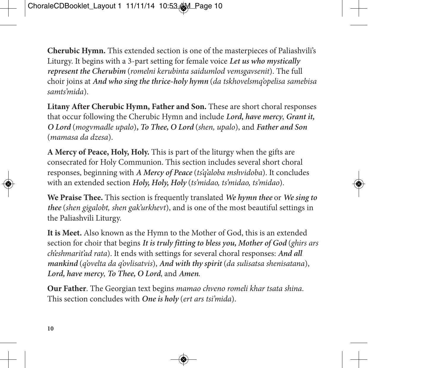**Cherubic Hymn.** This extended section is one of the masterpieces of Paliashvili's Liturgy. It begins with a 3-part setting for female voice *Let us who mystically represent the Cherubim* (*romelni kerubinta saidumlod vemsgavsenit*). The full choir joins at *And who sing the thrice-holy hymn* (*da tskhovelsmq'opelisa samebisa samts'mida*).

**Litany After Cherubic Hymn, Father and Son.** These are short choral responses that occur following the Cherubic Hymn and include *Lord, have mercy*, *Grant it, O Lord* (*mogvmadle upalo*)*, To Thee, O Lord* (*shen, upalo*), and *Father and Son* (*mamasa da dzesa*).

**A Mercy of Peace, Holy, Holy.** This is part of the liturgy when the gifts are consecrated for Holy Communion. This section includes several short choral responses, beginning with *A Mercy of Peace* (*ts'q'aloba mshvidoba*). It concludes with an extended section *Holy, Holy, Holy* (*ts'midao, ts'midao, ts'midao*).

**We Praise Thee.** This section is frequently translated *We hymn thee* or *We sing to thee* (*shen gigalobt, shen gak'urkhevt*), and is one of the most beautiful settings in the Paliashvili Liturgy.

**It is Meet.** Also known as the Hymn to the Mother of God, this is an extended section for choir that begins *It is truly fitting to bless you, Mother of God* (*ghirs ars ch'eshmarit'ad rata*). It ends with settings for several choral responses: *And all mankind* (*q'ovelta da q'ovlisatvis*), *And with thy spirit* (*da sulisatsa shenisatana*), *Lord, have mercy*, *To Thee, O Lord*, and *Amen*.

**Our Father**. The Georgian text begins *mamao chveno romeli khar tsata shina*. This section concludes with *One is holy* (*ert ars tsi'mida*).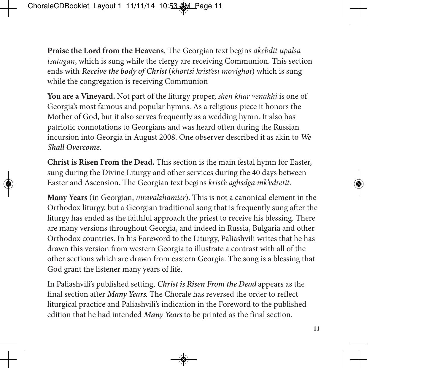**Praise the Lord from the Heavens**. The Georgian text begins *akebdit upalsa tsatagan*, which is sung while the clergy are receiving Communion. This section ends with *Receive the body of Christ* (*khortsi krist'esi movighot*) which is sung while the congregation is receiving Communion

**You are a Vineyard.** Not part of the liturgy proper, *shen khar venakhi* is one of Georgia's most famous and popular hymns. As a religious piece it honors the Mother of God, but it also serves frequently as a wedding hymn. It also has patriotic connotations to Georgians and was heard often during the Russian incursion into Georgia in August 2008. One observer described it as akin to *We Shall Overcome.*

**Christ is Risen From the Dead.** This section is the main festal hymn for Easter, sung during the Divine Liturgy and other services during the 40 days between Easter and Ascension. The Georgian text begins *krist'e aghsdga mk'vdretit*.

**Many Years** (in Georgian, *mravalzhamier*). This is not a canonical element in the Orthodox liturgy, but a Georgian traditional song that is frequently sung after the liturgy has ended as the faithful approach the priest to receive his blessing. There are many versions throughout Georgia, and indeed in Russia, Bulgaria and other Orthodox countries. In his Foreword to the Liturgy, Paliashvili writes that he has drawn this version from western Georgia to illustrate a contrast with all of the other sections which are drawn from eastern Georgia. The song is a blessing that God grant the listener many years of life.

In Paliashvili's published setting, *Christ is Risen From the Dead* appears as the final section after *Many Years*. The Chorale has reversed the order to reflect liturgical practice and Paliashvili's indication in the Foreword to the published edition that he had intended *Many Years* to be printed as the final section.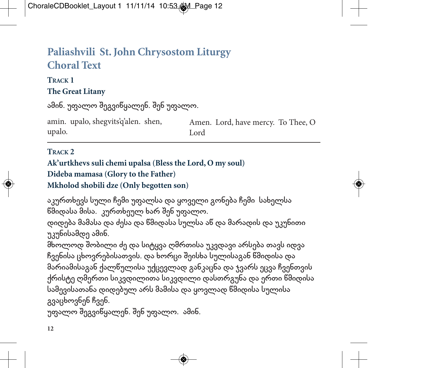## **Paliashvili St. John Chrysostom Liturgy Choral Text**

**TRACK 1**

#### **The Great Litany**

ამინ. უფალო შეგვიწყალენ. შენ უფალო.

amin. upalo, shegvits'q'alen. shen, upalo. Amen. Lord, have mercy. To Thee, O Lord

#### **TRACK 2**

**Ak'urtkhevs suli chemi upalsa (Bless the Lord, O my soul) Dideba mamasa (Glory to the Father) Mkholod shobili dze (Only begotten son)**

აკურთხევს სული ჩემი უფალსა და ყოველი გონება ჩემი სახელსა წმიდასა მისა. კურთხეულ ხარ შენ უფალო. დიდება მამასა და ძესა და წმიდასა სულსა აწ და მარადის და უკუნითი უკუნისამდე ამინ. მხოლოდ შობილი ძე და სიტყვა ღმრთისა უკვდავი არსება თავს იდვა ჩვენისა ცხოვრებისათვის. და ხორცი შეისხა სულისაგან წმიდისა და მარიამისაგან ქალწულისა უქცევლად განკაცნა და ჯვარს ეცვა ჩვენთვის ქრისტე ღმერთი სიკვდილითა სიკვდილი დასთრგუნა და ერთი წმიდისა სამევისათანა დიდებულ არს მამისა და ყოვლად წმიდისა სულისა გვაცხოვნენ ჩვენ. უფალო შეგვიწყალენ. შენ უფალო. ამინ.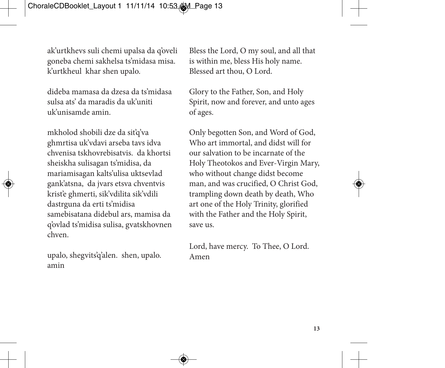ak'urtkhevs suli chemi upalsa da q'oveli goneba chemi sakhelsa ts'midasa misa. k'urtkheul khar shen upalo.

dideba mamasa da dzesa da ts'midasa sulsa ats' da maradis da uk'uniti uk'unisamde amin.

mkholod shobili dze da sit'q'va ghmrtisa uk'vdavi arseba tavs idva chvenisa tskhovrebisatvis. da khortsi sheiskha sulisagan ts'midisa, da mariamisagan kalts'ulisa uktsevlad gank'atsna, da jvars etsva chventvis krist'e ghmerti, sik'vdilita sik'vdili dastrguna da erti ts'midisa samebisatana didebul ars, mamisa da q'ovlad ts'midisa sulisa, gvatskhovnen chven.

upalo, shegvits'q'alen. shen, upalo. amin

Bless the Lord, O my soul, and all that is within me, bless His holy name. Blessed art thou, O Lord.

Glory to the Father, Son, and Holy Spirit, now and forever, and unto ages of ages.

Only begotten Son, and Word of God, Who art immortal, and didst will for our salvation to be incarnate of the Holy Theotokos and Ever-Virgin Mary, who without change didst become man, and was crucified, O Christ God, trampling down death by death, Who art one of the Holy Trinity, glorified with the Father and the Holy Spirit, save us.

Lord, have mercy. To Thee, O Lord. Amen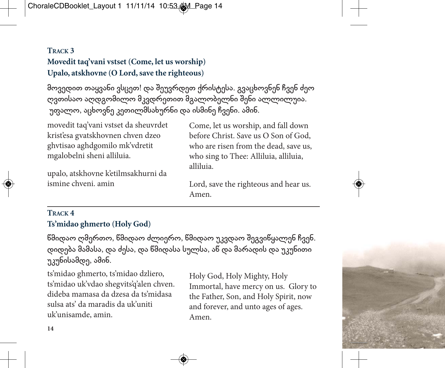#### **TRACK 3 Movedit taq'vani vstset (Come, let us worship) Upalo, atskhovne (O Lord, save the righteous)**

მოვედით თაყვანი ვსცეთ! და შეუვრდეთ ქრისტესა. გვაცხოვნენ ჩვენ ძეო ღვთისაო აღდგომილო მკვდრეთით მგალობელნი შენი ალლილუია. უფალო, აცხოვნე კეთილმსახურნი და ისმინე ჩვენი. ამინ.

movedit taq'vani vstset da sheuvrdet krist'esa gvatskhovnen chven dzeo ghvtisao aghdgomilo mk'vdretit mgalobelni sheni alliluia.

upalo, atskhovne k'etilmsakhurni da ismine chveni. amin

Come, let us worship, and fall down before Christ. Save us O Son of God, who are risen from the dead, save us, who sing to Thee: Alliluia, alliluia, alliluia.

Lord, save the righteous and hear us. Amen.

#### **TRACK 4**

#### **Ts'midao ghmerto (Holy God)**

წმიდაო ღმერთო, წმიდაო ძლიერო, წმიდაო უკვდაო შეგვიწყალენ ჩვენ. დიდება მამასა, და ძესა, და წმიდასა სულსა, აწ და მარადის და უკუნითი უკუნისამდე, ამინ.

ts'midao ghmerto, ts'midao dzliero, ts'midao uk'vdao shegvits'q'alen chven. dideba mamasa da dzesa da ts'midasa sulsa ats' da maradis da uk'uniti uk'unisamde, amin.

Holy God, Holy Mighty, Holy Immortal, have mercy on us. Glory to the Father, Son, and Holy Spirit, now and forever, and unto ages of ages. Amen.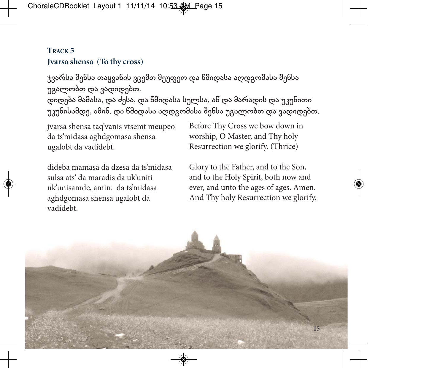#### **TRACK 5**

#### **Jvarsa shensa (To thy cross)**

ჯვარსა შენსა თაყვანის ვცემთ მეუფეო და წმიდასა აღდგომასა შენსა უგალობთ და ვადიდებთ.

დიდება მამასა, და ძესა, და წმიდასა სულსა, აწ და მარადის და უკუნითი უკუნისამდე, ამინ. და წმიდასა აღდგომასა შენსა უგალობთ და ვადიდებთ.

jvarsa shensa taq'vanis vtsemt meupeo da ts'midasa aghdgomasa shensa ugalobt da vadidebt.

Before Thy Cross we bow down in worship, O Master, and Thy holy Resurrection we glorify. (Thrice)

dideba mamasa da dzesa da ts'midasa sulsa ats' da maradis da uk'uniti uk'unisamde, amin. da ts'midasa aghdgomasa shensa ugalobt da vadidebt.

Glory to the Father, and to the Son, and to the Holy Spirit, both now and ever, and unto the ages of ages. Amen. And Thy holy Resurrection we glorify.

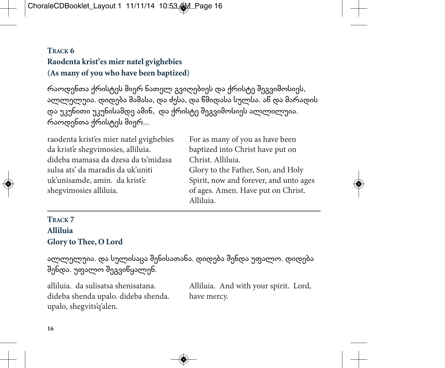#### **TRACK 6 Raodenta krist'es mier natel gvighebies (As many of you who have been baptized)**

რაოდენთა ქრისტეს მიერ ნათელ გვიღებიეს და ქრისტე შეგვიმოსიეს, ალლელუია. დიდება მამასა, და ძესა, და წმიდასა სულსა. აწ და მარადის და უკუნითი უკუნისამდე ამინ, და ქრისტე შეგვიმოსიეს ალლილუია. რაოდენთა ქრისტეს მიერ...

| raodenta krist'es mier natel gvighebies | For as many of you as have been        |
|-----------------------------------------|----------------------------------------|
| da krisťe shegvimosies, alliluia.       | baptized into Christ have put on       |
| dideba mamasa da dzesa da ts'midasa     | Christ. Alliluia.                      |
| sulsa ats' da maradis da uk'uniti       | Glory to the Father, Son, and Holy     |
| uk'unisamde, amin. da krist'e           | Spirit, now and forever, and unto ages |
| shegvimosies alliluia.                  | of ages. Amen. Have put on Christ.     |
|                                         | Alliluia.                              |

#### **TRACK 7 Alliluia Glory to Thee, O Lord**

ალლელუია. და სულისაცა შენისათანა. დიდება შენდა უფალო. დიდება შენდა. უფალო შეგვიწყალენ.

alliluia. da sulisatsa shenisatana. dideba shenda upalo. dideba shenda. upalo, shegvits'q'alen.

Alliluia. And with your spirit. Lord, have mercy.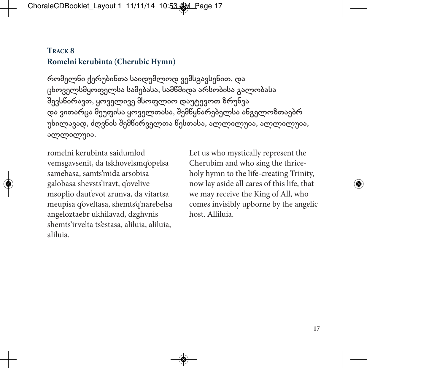#### **TRACK 8 Romelni kerubinta (Cherubic Hymn)**

რომელნი ქერუბინთა საიდუმლოდ ვემსგავსენით, და ცხოველსმყოფელსა სამებასა, სამწმიდა არსობისა გალობასა შევსწირავთ, ყოველივე მსოფლიო დაუტევოთ ზრუნვა და ვითარცა მეუფისა ყოველთასა, შემწყნარებელსა ანგელოზთაებრ უხილავად, ძღვნის შემწირველთა წესთასა, ალლილუია, ალლილუია, ალლილუია.

romelni kerubinta saidumlod vemsgavsenit, da tskhovelsmq'opelsa samebasa, samts'mida arsobisa galobasa shevsts'iravt, q'ovelive msoplio daut'evot zrunva, da vitartsa meupisa q'oveltasa, shemts'q'narebelsa angeloztaebr ukhilavad, dzghvnis shemts'irvelta ts'estasa, aliluia, aliluia, aliluia.

Let us who mystically represent the Cherubim and who sing the thriceholy hymn to the life-creating Trinity, now lay aside all cares of this life, that we may receive the King of All, who comes invisibly upborne by the angelic host. Alliluia.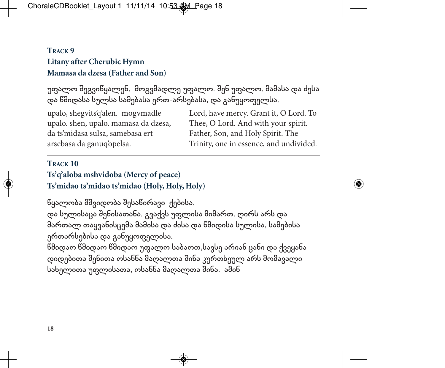#### **TRACK 9 Litany after Cherubic Hymn Mamasa da dzesa (Father and Son)**

უფალო შეგვიწყალენ. მოგვმადლე უფალო. შენ უფალო. მამასა და ძესა და წმიდასა სულსა სამებასა ერთ-არსებასა, და განუყოფელსა.

upalo, shegvits'q'alen. mogvmadle upalo. shen, upalo. mamasa da dzesa, da ts'midasa sulsa, samebasa ert arsebasa da ganuq'opelsa.

Lord, have mercy. Grant it, O Lord. To Thee, O Lord. And with your spirit. Father, Son, and Holy Spirit. The Trinity, one in essence, and undivided.

#### **TRACK 10**

#### **Ts'q'aloba mshvidoba (Mercy of peace) Ts'midao ts'midao ts'midao (Holy, Holy, Holy)**

წყალობა მშვიდობა შესაწირავი ქებისა. და სულისაცა შენისათანა. გვაქვს უფლისა მიმართ. ღირს არს და მართალ თაყვანისცემა მამისა და ძისა და წმიდისა სულისა, სამებისა ერთარსებისა და განუყოფელისა.

წმიდაო წმიდაო წმიდაო უფალო საბაოთ,სავსე არიან ცანი და ქვეყანა დიდებითა შენითა ოსანნა მაღალთა შინა კურთხეულ არს მომავალი სახელითა უფლისათა, ოსანნა მაღალთა შინა. ამინ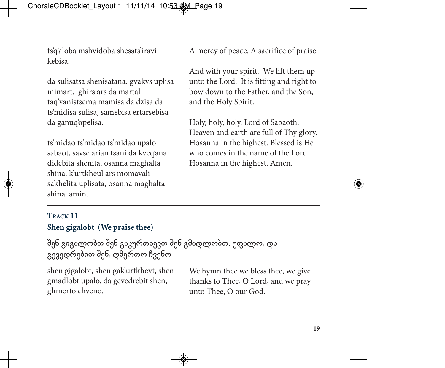ts'q'aloba mshvidoba shesats'iravi kebisa.

da sulisatsa shenisatana. gvakvs uplisa mimart. ghirs ars da martal taq'vanistsema mamisa da dzisa da ts'midisa sulisa, samebisa ertarsebisa da ganuq'opelisa.

ts'midao ts'midao ts'midao upalo sabaot, savse arian tsani da kveq'ana didebita shenita. osanna maghalta shina. k'urtkheul ars momavali sakhelita uplisata, osanna maghalta shina. amin.

A mercy of peace. A sacrifice of praise.

And with your spirit. We lift them up unto the Lord. It is fitting and right to bow down to the Father, and the Son, and the Holy Spirit.

Holy, holy, holy. Lord of Sabaoth. Heaven and earth are full of Thy glory. Hosanna in the highest. Blessed is He who comes in the name of the Lord. Hosanna in the highest. Amen.

#### **TRACK 11**

#### **Shen gigalobt (We praise thee)**

შენ გიგალობთ შენ გაკურთხევთ შენ გმადლობთ. უფალო, და გევედრებით შენ, ღმერთო ჩვენო

shen gigalobt, shen gak'urtkhevt, shen gmadlobt upalo, da gevedrebit shen, ghmerto chveno.

We hymn thee we bless thee, we give thanks to Thee, O Lord, and we pray unto Thee, O our God.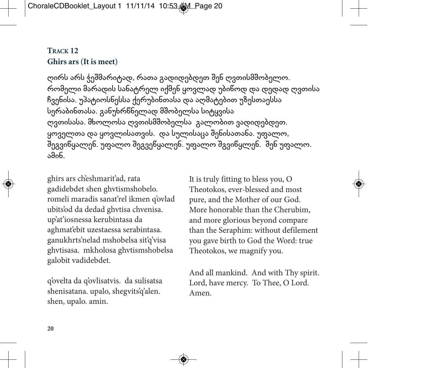#### **TRACK 12 Ghirs ars (It is meet)**

ღირს არს ჭეშმარიტად, რათა გადიდებდეთ შენ ღვთისმშობელო. რომელი მარადის სანატრელ იქმენ ყოვლად უბიწოდ და დედად ღვთისა ჩვენისა. უპატიოსნესსა ქერუბინთასა და აღმატებით უზესთაესსა სერაბინთასა. განუხრწნელად მშობელსა სიტყვისა ღვთისასა. მხოლოსა ღვთისმშობელსა გალობით ვადიდებდეთ. ყოველთა და ყოვლისათვის. და სულისაცა შენისათანა. უფალო, შეგვიწყალენ. უფალო შეგვეწყალენ. უფალო შგვიწყლენ. შენ უფალო. ამინ.

ghirs ars ch'eshmarit'ad, rata gadidebdet shen ghvtismshobelo. romeli maradis sanat'rel ikmen q'ovlad ubits'od da dedad ghvtisa chvenisa. up'at'iosnessa kerubintasa da aghmat'ebit uzestaessa serabintasa. ganukhrts'nelad mshobelsa sit'q'visa ghvtisasa. mkholosa ghvtismshobelsa galobit vadidebdet.

q'ovelta da q'ovlisatvis. da sulisatsa shenisatana. upalo, shegvits'q'alen. shen, upalo. amin.

It is truly fitting to bless you, O Theotokos, ever-blessed and most pure, and the Mother of our God. More honorable than the Cherubim, and more glorious beyond compare than the Seraphim: without defilement you gave birth to God the Word: true Theotokos, we magnify you.

And all mankind. And with Thy spirit. Lord, have mercy. To Thee, O Lord. Amen.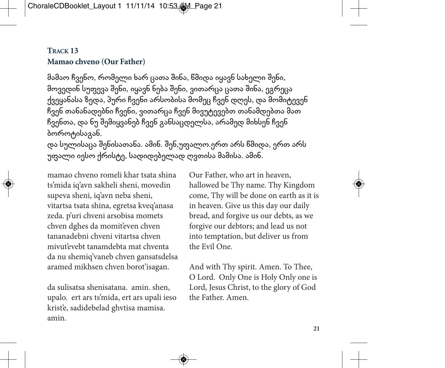#### **TRACK 13**

#### **Mamao chveno (Our Father)**

მამაო ჩვენო, რომელი ხარ ცათა შინა, წმიდა იყავნ სახელი შენი, მოვედინ სუფევა შენი, იყავნ ნება შენი, ვითარცა ცათა შინა, ეგრეცა ქვეყანასა ზედა, პური ჩვენი არსობისა მომეც ჩვენ დღეს, და მომიტევენ ჩვენ თანანადებნი ჩვენი, ვითარცა ჩვენ მივუტევებთ თანამდებთა მათ ჩვენთა, და ნუ შემიყვანებ ჩვენ განსაცდელსა, არამედ მიხსენ ჩვენ ბოროტისაგან.

და სულისაცა შენისათანა. ამინ. შენ,უფალო.ერთ არს წმიდა, ერთ არს უფალი იესო ქრისტე, სადიდებელად ღვთისა მამისა. ამინ.

mamao chveno romeli khar tsata shina ts'mida iq'avn sakheli sheni, movedin supeva sheni, iq'avn neba sheni, vitartsa tsata shina, egretsa kveq'anasa zeda. p'uri chveni arsobisa momets chven dghes da momit'even chven tananadebni chveni vitartsa chven mivut'evebt tanamdebta mat chventa da nu shemiq'vaneb chven gansatsdelsa aramed mikhsen chven borot'isagan.

da sulisatsa shenisatana. amin. shen, upalo. ert ars ts'mida, ert ars upali ieso krist'e, sadidebelad ghvtisa mamisa. amin.

Our Father, who art in heaven, hallowed be Thy name. Thy Kingdom come, Thy will be done on earth as it is in heaven. Give us this day our daily bread, and forgive us our debts, as we forgive our debtors; and lead us not into temptation, but deliver us from the Evil One.

And with Thy spirit. Amen. To Thee, O Lord. Only One is Holy Only one is Lord, Jesus Christ, to the glory of God the Father. Amen.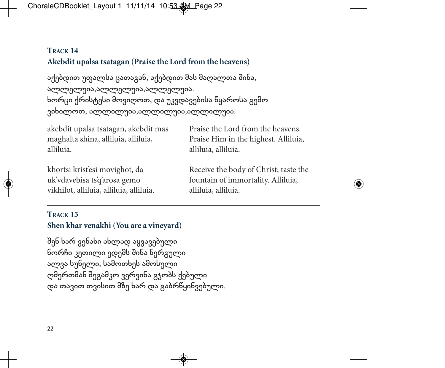#### **TRACK 14 Akebdit upalsa tsatagan (Praise the Lord from the heavens)**

აქებდით უფალსა ცათაგან, აქებდით მას მაღალთა შინა, ალლელუია,ალლელუია,ალლელუია. ხორცი ქრისტესი მოვიღოთ, და უკვდავებისა წყაროსა გემო ვიხილოთ, ალლილუია,ალლილუია,ალლილუია.

| akebdit upalsa tsatagan, akebdit mas | Praise the Lord from the heavens.    |
|--------------------------------------|--------------------------------------|
| maghalta shina, alliluia, alliluia,  | Praise Him in the highest. Alliluia, |
| alliluia.                            | alliluia, alliluia.                  |
|                                      |                                      |

khortsi krist'esi movighot, da uk'vdavebisa ts'q'arosa gemo vikhilot, alliluia, alliluia, alliluia.

Receive the body of Christ; taste the fountain of immortality. Alliluia, alliluia, alliluia.

#### **TRACK 15**

#### **Shen khar venakhi (You are a vineyard)**

შენ ხარ ვენახი ახლად აყვავებული ნორჩი კეთილი ედემს შინა ნერგული ალვა სუნელი, სამოთხეს ამოსული ღმერთმან შეგამკო ვერვინა გჯობს ქებული და თავით თვისით მზე ხარ და გაბრწყინვებული.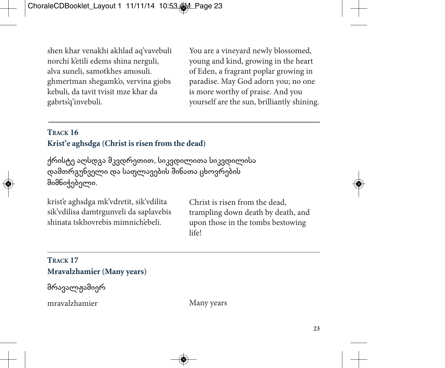shen khar venakhi akhlad aq'vavebuli norchi k'etili edems shina nerguli, alva suneli, samotkhes amosuli. ghmertman shegamk'o, vervina gjobs kebuli, da tavit tvisit mze khar da gabrts'q'invebuli.

You are a vineyard newly blossomed, young and kind, growing in the heart of Eden, a fragrant poplar growing in paradise. May God adorn you; no one is more worthy of praise. And you yourself are the sun, brilliantly shining.

#### **TRACK 16**

#### **Krist'e aghsdga (Christ is risen from the dead)**

ქრისტე აღსდგა მკვდრეთით, სიკვდილითა სიკვდილისა დამთრგუნველი და საფლავების შინათა ცხოვრების მიმნიჭებელი.

krist'e aghsdga mk'vdretit, sik'vdilita sik'vdilisa damtrgunveli da saplavebis shinata tskhovrebis mimnich'ebeli.

Christ is risen from the dead, trampling down death by death, and upon those in the tombs bestowing life!

#### **TRACK 17 Mravalzhamier (Many years)**

მრავალჟამიერ

mravalzhamier Many years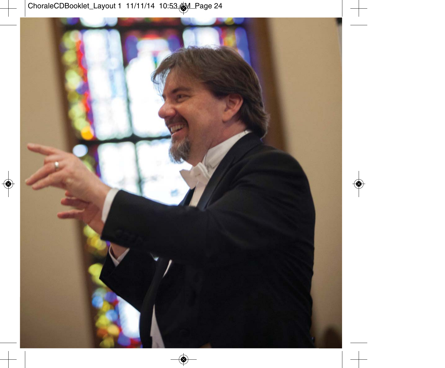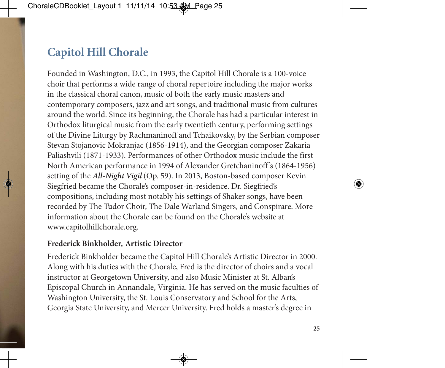# **Capitol Hill Chorale**

Founded in Washington, D.C., in 1993, the Capitol Hill Chorale is a 100-voice choir that performs a wide range of choral repertoire including the major works in the classical choral canon, music of both the early music masters and contemporary composers, jazz and art songs, and traditional music from cultures around the world. Since its beginning, the Chorale has had a particular interest in Orthodox liturgical music from the early twentieth century, performing settings of the Divine Liturgy by Rachmaninoff and Tchaikovsky, by the Serbian composer Stevan Stojanovic Mokranjac (1856-1914), and the Georgian composer Zakaria Paliashvili (1871-1933). Performances of other Orthodox music include the first North American performance in 1994 of Alexander Gretchaninoff 's (1864-1956) setting of the *All-Night Vigil* (Op. 59). In 2013, Boston-based composer Kevin Siegfried became the Chorale's composer-in-residence. Dr. Siegfried's compositions, including most notably his settings of Shaker songs, have been recorded by The Tudor Choir, The Dale Warland Singers, and Conspirare. More information about the Chorale can be found on the Chorale's website at www.capitolhillchorale.org.

#### **Frederick Binkholder, Artistic Director**

Frederick Binkholder became the Capitol Hill Chorale's Artistic Director in 2000. Along with his duties with the Chorale, Fred is the director of choirs and a vocal instructor at Georgetown University, and also Music Minister at St. Alban's Episcopal Church in Annandale, Virginia. He has served on the music faculties of Washington University, the St. Louis Conservatory and School for the Arts, Georgia State University, and Mercer University. Fred holds a master's degree in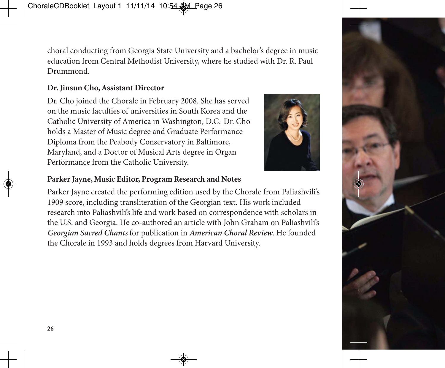choral conducting from Georgia State University and a bachelor's degree in music education from Central Methodist University, where he studied with Dr. R. Paul Drummond.

#### **Dr. Jinsun Cho, Assistant Director**

Dr. Cho joined the Chorale in February 2008. She has served on the music faculties of universities in South Korea and the Catholic University of America in Washington, D.C. Dr. Cho holds a Master of Music degree and Graduate Performance Diploma from the Peabody Conservatory in Baltimore, Maryland, and a Doctor of Musical Arts degree in Organ Performance from the Catholic University.



#### **Parker Jayne, Music Editor, Program Research and Notes**

Parker Jayne created the performing edition used by the Chorale from Paliashvili's 1909 score, including transliteration of the Georgian text. His work included research into Paliashvili's life and work based on correspondence with scholars in the U.S. and Georgia. He co-authored an article with John Graham on Paliashvili's *Georgian Sacred Chants* for publication in *American Choral Review*. He founded the Chorale in 1993 and holds degrees from Harvard University.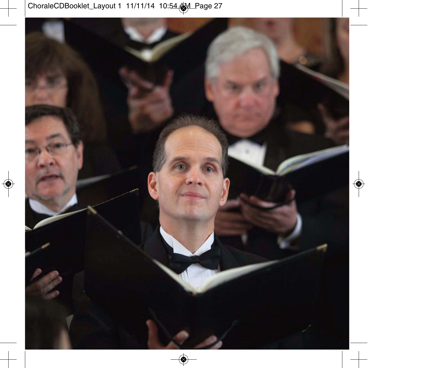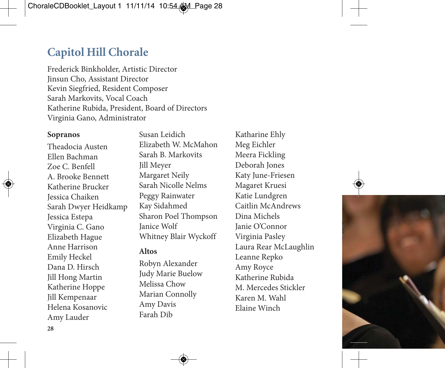## **Capitol Hill Chorale**

Frederick Binkholder, Artistic Director Jinsun Cho, Assistant Director Kevin Siegfried, Resident Composer Sarah Markovits, Vocal Coach Katherine Rubida, President, Board of Directors Virginia Gano, Administrator

#### **Sopranos**

Theadocia Austen Ellen Bachman Zoe C. Benfell A. Brooke Bennett Katherine Brucker Jessica Chaiken Sarah Dwyer Heidkamp Jessica Estepa Virginia C. Gano Elizabeth Hague Anne Harrison Emily Heckel Dana D. Hirsch Jill Hong Martin Katherine Hoppe Jill Kempenaar Helena Kosanovic Amy Lauder

Susan Leidich Elizabeth W. McMahon Sarah B. Markovits Jill Meyer Margaret Neily Sarah Nicolle Nelms Peggy Rainwater Kay Sidahmed Sharon Poel Thompson Janice Wolf Whitney Blair Wyckoff

#### **Altos**

Robyn Alexander Judy Marie Buelow Melissa Chow Marian Connolly Amy Davis Farah Dib

Katharine Ehly Meg Eichler Meera Fickling Deborah Jones Katy June-Friesen Magaret Kruesi Katie Lundgren Caitlin McAndrews Dina Michels Janie O'Connor Virginia Pasley Laura Rear McLaughlin Leanne Repko Amy Royce Katherine Rubida M. Mercedes Stickler Karen M. Wahl Elaine Winch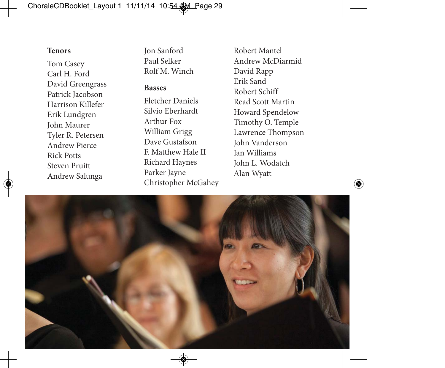#### **Tenors**

Tom Casey Carl H. Ford David Greengrass Patrick Jacobson Harrison Killefer Erik Lundgren John Maurer Tyler R. Petersen Andrew Pierce Rick Potts Steven Pruitt Andrew Salunga

Jon Sanford Paul Selker Rolf M. Winch

#### **Basses**

Fletcher Daniels Silvio Eberhardt Arthur Fox William Grigg Dave Gustafson F. Matthew Hale II Richard Haynes Parker Jayne Christopher McGahey Robert Mantel Andrew McDiarmid David Rapp Erik Sand Robert Schiff Read Scott Martin Howard Spendelow Timothy O. Temple Lawrence Thompson John Vanderson Ian Williams John L. Wodatch Alan Wyatt

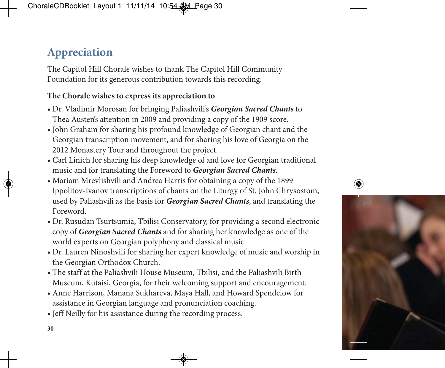# **Appreciation**

The Capitol Hill Chorale wishes to thank The Capitol Hill Community Foundation for its generous contribution towards this recording.

#### **The Chorale wishes to express its appreciation to**

- Dr. Vladimir Morosan for bringing Paliashvili's *Georgian Sacred Chants* to Thea Austen's attention in 2009 and providing a copy of the 1909 score.
- John Graham for sharing his profound knowledge of Georgian chant and the Georgian transcription movement, and for sharing his love of Georgia on the 2012 Monastery Tour and throughout the project.
- Carl Linich for sharing his deep knowledge of and love for Georgian traditional music and for translating the Foreword to *Georgian Sacred Chants*.
- Mariam Mrevlishvili and Andrea Harris for obtaining a copy of the 1899 Ippolitov-Ivanov transcriptions of chants on the Liturgy of St. John Chrysostom, used by Paliashvili as the basis for *Georgian Sacred Chants*, and translating the Foreword.
- Dr. Rusudan Tsurtsumia, Tbilisi Conservatory, for providing a second electronic copy of *Georgian Sacred Chants* and for sharing her knowledge as one of the world experts on Georgian polyphony and classical music.
- Dr. Lauren Ninoshvili for sharing her expert knowledge of music and worship in the Georgian Orthodox Church.
- The staff at the Paliashvili House Museum, Tbilisi, and the Paliashvili Birth Museum, Kutaisi, Georgia, for their welcoming support and encouragement.
- Anne Harrison, Manana Sukhareva, Maya Hall, and Howard Spendelow for assistance in Georgian language and pronunciation coaching.
- Jeff Neilly for his assistance during the recording process.